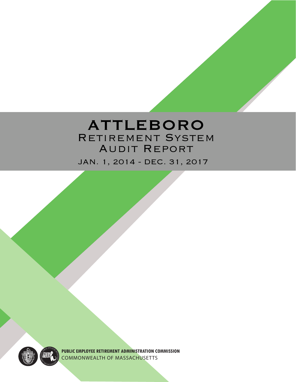## ATTLEBORO RETIREMENT SYSTEM Audit Report

JAN. 1, 2014 - DEC. 31, 2017



**PUBLIC EMPLOYEE RETIREMENT ADMINISTRATION COMMISSION** COMMONWEALTH OF MASSACHUSETTS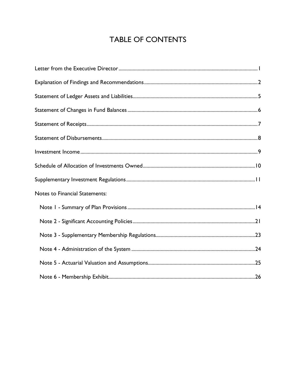## **TABLE OF CONTENTS**

| <b>Notes to Financial Statements:</b> |
|---------------------------------------|
|                                       |
|                                       |
|                                       |
|                                       |
|                                       |
|                                       |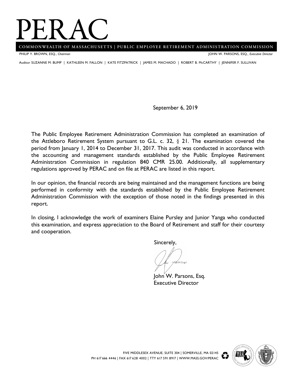## **PERAC**<br>
COMMONWEALTH OF MASSACHUSETTS | PUBLIC EMPLOYEE RETIREMENT ADMINISTRATION COMMISSION

PHILIP Y. BROWN, ESQ., *Chairman*

JOHN W. PARSONS, ESQ., *Executive Director*

Auditor SUZANNE M. BUMP | KATHLEEN M. FALLON | KATE FITZPATRICK | JAMES M. MACHADO | ROBERT B. McCARTHY | JENNIFER F. SULLIVAN

September 6, 2019

The Public Employee Retirement Administration Commission has completed an examination of the Attleboro Retirement System pursuant to G.L. c. 32,  $\S$  21. The examination covered the period from January 1, 2014 to December 31, 2017. This audit was conducted in accordance with the accounting and management standards established by the Public Employee Retirement Administration Commission in regulation 840 CMR 25.00. Additionally, all supplementary regulations approved by PERAC and on file at PERAC are listed in this report.

In our opinion, the financial records are being maintained and the management functions are being performed in conformity with the standards established by the Public Employee Retirement Administration Commission with the exception of those noted in the findings presented in this report.

In closing, I acknowledge the work of examiners Elaine Pursley and Junior Yanga who conducted this examination, and express appreciation to the Board of Retirement and staff for their courtesy and cooperation.

Sincerely,

John<sup>'</sup> W. Parsons, Esq. Executive Director

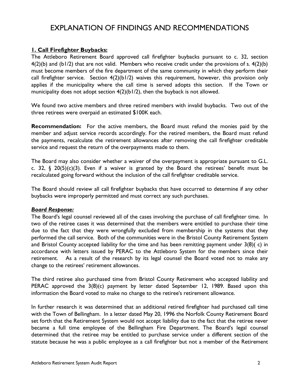## EXPLANATION OF FINDINGS AND RECOMMENDATIONS

## **1. Call Firefighter Buybacks:**

The Attleboro Retirement Board approved call firefighter buybacks pursuant to c. 32, section  $4(2)(b)$  and  $(b1/2)$  that are not valid. Members who receive credit under the provisions of s.  $4(2)(b)$ must become members of the fire department of the same community in which they perform their call firefighter service. Section 4(2)(b1/2) waives this requirement, however, this provision only applies if the municipality where the call time is served adopts this section. If the Town or municipality does not adopt section 4(2)(b1/2), then the buyback is not allowed.

We found two active members and three retired members with invalid buybacks. Two out of the three retirees were overpaid an estimated \$100K each.

**Recommendation:** For the active members, the Board must refund the monies paid by the member and adjust service records accordingly. For the retired members, the Board must refund the payments, recalculate the retirement allowances after removing the call firefighter creditable service and request the return of the overpayments made to them.

The Board may also consider whether a waiver of the overpayment is appropriate pursuant to G.L. c. 32,  $\S$  20(5)(c)(3). Even if a waiver is granted by the Board the retirees' benefit must be recalculated going forward without the inclusion of the call firefighter creditable service.

The Board should review all call firefighter buybacks that have occurred to determine if any other buybacks were improperly permitted and must correct any such purchases.

#### *Board Response:*

The Board's legal counsel reviewed all of the cases involving the purchase of call firefighter time. In two of the retiree cases it was determined that the members were entitled to purchase their time due to the fact that they were wrongfully excluded from membership in the systems that they performed the call service. Both of the communities were in the Bristol County Retirement System and Bristol County accepted liability for the time and has been remitting payment under 3(8)( c) in accordance with letters issued by PERAC to the Attleboro System for the members since their retirement. As a result of the research by its legal counsel the Board voted not to make any change to the retirees' retirement allowances.

The third retiree also purchased time from Bristol County Retirement who accepted liability and PERAC approved the 3(8)(c) payment by letter dated September 12, 1989. Based upon this information the Board voted to make no change to the retiree's retirement allowance.

In further research it was determined that an additional retired firefighter had purchased call time with the Town of Bellingham. In a letter dated May 20, 1996 the Norfolk County Retirement Board set forth that the Retirement System would not accept liability due to the fact that the retiree never became a full time employee of the Bellingham Fire Department. The Board's legal counsel determined that the retiree may be entitled to purchase service under a different section of the statute because he was a public employee as a call firefighter but not a member of the Retirement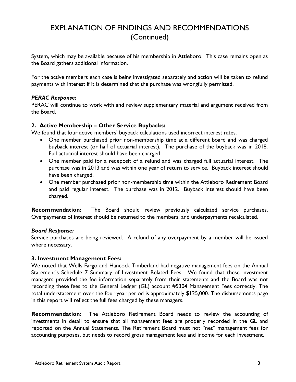## EXPLANATION OF FINDINGS AND RECOMMENDATIONS (Continued)

System, which may be available because of his membership in Attleboro. This case remains open as the Board gathers additional information.

For the active members each case is being investigated separately and action will be taken to refund payments with interest if it is determined that the purchase was wrongfully permitted.

## *PERAC Response:*

PERAC will continue to work with and review supplementary material and argument received from the Board.

## **2. Active Membership – Other Service Buybacks:**

We found that four active members' buyback calculations used incorrect interest rates.

- One member purchased prior non-membership time at a different board and was charged buyback interest (or half of actuarial interest). The purchase of the buyback was in 2018. Full actuarial interest should have been charged.
- One member paid for a redeposit of a refund and was charged full actuarial interest. The purchase was in 2013 and was within one year of return to service. Buyback interest should have been charged.
- One member purchased prior non-membership time within the Attleboro Retirement Board and paid regular interest. The purchase was in 2012. Buyback interest should have been charged.

**Recommendation:** The Board should review previously calculated service purchases. Overpayments of interest should be returned to the members, and underpayments recalculated.

#### *Board Response:*

Service purchases are being reviewed. A refund of any overpayment by a member will be issued where necessary.

#### **3. Investment Management Fees:**

We noted that Wells Fargo and Hancock Timberland had negative management fees on the Annual Statement's Schedule 7 Summary of Investment Related Fees. We found that these investment managers provided the fee information separately from their statements and the Board was not recording these fees to the General Ledger (GL) account #5304 Management Fees correctly. The total understatement over the four-year period is approximately \$125,000. The disbursements page in this report will reflect the full fees charged by these managers.

**Recommendation:** The Attleboro Retirement Board needs to review the accounting of investments in detail to ensure that all management fees are properly recorded in the GL and reported on the Annual Statements. The Retirement Board must not "net" management fees for accounting purposes, but needs to record gross management fees and income for each investment.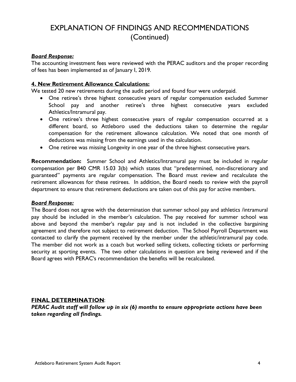## EXPLANATION OF FINDINGS AND RECOMMENDATIONS (Continued)

#### *Board Response:*

The accounting investment fees were reviewed with the PERAC auditors and the proper recording of fees has been implemented as of January I, 2019.

#### **4. New Retirement Allowance Calculations:**

We tested 20 new retirements during the audit period and found four were underpaid.

- One retiree's three highest consecutive years of regular compensation excluded Summer School pay and another retiree's three highest consecutive years excluded Athletics/Intramural pay.
- One retiree's three highest consecutive years of regular compensation occurred at a different board, so Attleboro used the deductions taken to determine the regular compensation for the retirement allowance calculation. We noted that one month of deductions was missing from the earnings used in the calculation.
- One retiree was missing Longevity in one year of the three highest consecutive years.

**Recommendation:** Summer School and Athletics/Intramural pay must be included in regular compensation per 840 CMR 15.03 3(b) which states that "predetermined, non-discretionary and guaranteed" payments are regular compensation. The Board must review and recalculate the retirement allowances for these retirees. In addition, the Board needs to review with the payroll department to ensure that retirement deductions are taken out of this pay for active members.

#### *Board Response:*

The Board does not agree with the determination that summer school pay and athletics /intramural pay should be included in the member's calculation. The pay received for summer school was above and beyond the member's regular pay and is not included in the collective bargaining agreement and therefore not subject to retirement deduction. The School Payroll Department was contacted to clarify the payment received by the member under the athletic/intramural pay code. The member did not work as a coach but worked selling tickets, collecting tickets or performing security at sporting events. The two other calculations in question are being reviewed and if the Board agrees with PERAC's recommendation the benefits will be recalculated.

#### **FINAL DETERMINATION**:

*PERAC Audit staff will follow up in six (6) months to ensure appropriate actions have been taken regarding all findings.*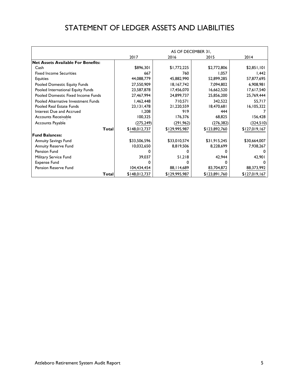## STATEMENT OF LEDGER ASSETS AND LIABILITIES

|                                           | AS OF DECEMBER 31. |               |               |               |
|-------------------------------------------|--------------------|---------------|---------------|---------------|
|                                           | 2017               | 2016          | 2015          | 2014          |
| <b>Net Assets Available For Benefits:</b> |                    |               |               |               |
| Cash                                      | \$896,301          | \$1,772,225   | \$2,772,806   | \$2,851,101   |
| <b>Fixed Income Securities</b>            | 667                | 760           | 1,057         | 1,442         |
| Equities                                  | 44,088,779         | 45,882,990    | 52,899,285    | 57,877,695    |
| Pooled Domestic Equity Funds              | 27,550,909         | 18,167,742    | 7,094,802     | 6,908,981     |
| Pooled International Equity Funds         | 23,587,878         | 17,456,070    | 16,662,520    | 17,617,540    |
| Pooled Domestic Fixed Income Funds        | 27,467,994         | 24,899,737    | 25,856,200    | 25,769,444    |
| Pooled Alternative Investment Funds       | 1,462,448          | 710,571       | 342,522       | 55,717        |
| Pooled Real Estate Funds                  | 23, 131, 478       | 21,220,559    | 18,470,681    | 16,105,322    |
| Interest Due and Accrued                  | 1,208              | 919           | 444           |               |
| Accounts Receivable                       | 100,325            | 176,376       | 68,825        | 156,428       |
| Accounts Payable                          | (275, 249)         | (291, 962)    | (276, 382)    | (324,510)     |
| <b>Total</b>                              | \$148,012,737      | \$129,995,987 | \$123,892,760 | \$127,019,167 |
| <b>Fund Balances:</b>                     |                    |               |               |               |
| Annuity Savings Fund                      | \$33,506,596       | \$33,010,574  | \$31,915,245  | \$30,664,007  |
| <b>Annuity Reserve Fund</b>               | 10,032,650         | 8,819,506     | 8,228,699     | 7,938,267     |
| Pension Fund                              |                    |               |               |               |
| Military Service Fund                     | 39,037             | 51,218        | 42,944        | 42,901        |
| <b>Expense Fund</b>                       |                    |               | n             |               |
| Pension Reserve Fund                      | 104,434,454        | 88, I 14, 689 | 83,704,872    | 88,373,992    |
| Total                                     | \$148,012,737      | \$129,995,987 | \$123,891,760 | \$127,019,167 |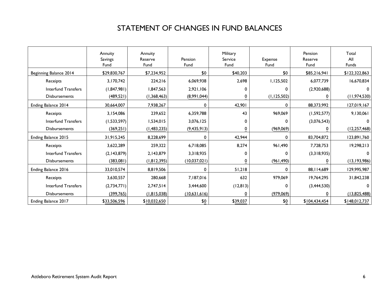## STATEMENT OF CHANGES IN FUND BALANCES

|                            | Annuity<br>Savings<br>Fund | Annuity<br>Reserve<br>Fund | Pension<br>Fund | Military<br>Service<br>Fund | Expense<br>Fund | Pension<br>Reserve<br>Fund | Total<br>All<br><b>Funds</b> |
|----------------------------|----------------------------|----------------------------|-----------------|-----------------------------|-----------------|----------------------------|------------------------------|
| Beginning Balance 2014     | \$29,830,767               | \$7,234,952                | \$0             | \$40,203                    | \$0             | \$85,216,941               | \$122,322,863                |
| Receipts                   | 3,170,742                  | 224,216                    | 6,069,938       | 2,698                       | 1,125,502       | 6,077,739                  | 16,670,834                   |
| Interfund Transfers        | (1,847,981)                | 1,847,563                  | 2,921,106       | 0                           | 0               | (2,920,688)                | 0                            |
| <b>Disbursements</b>       | (489, 521)                 | (1,368,463)                | (8,991,044)     | 0                           | (1, 125, 502)   | 0                          | (11, 974, 530)               |
| Ending Balance 2014        | 30,664,007                 | 7,938,267                  | $\mathbf 0$     | 42,901                      | 0               | 88,373,992                 | 127,019,167                  |
| Receipts                   | 3,154,086                  | 239,652                    | 6,359,788       | 43                          | 969,069         | (1,592,577)                | 9,130,061                    |
| Interfund Transfers        | (1,533,597)                | 1,534,015                  | 3,076,125       | 0                           | 0               | (3,076,543)                |                              |
| <b>Disbursements</b>       | (369, 251)                 | (1,483,235)                | (9, 435, 913)   | 0                           | (969, 069)      | 0                          | (12, 257, 468)               |
| Ending Balance 2015        | 31,915,245                 | 8,228,699                  | $\mathbf 0$     | 42.944                      | 0               | 83,704,872                 | 123,891,760                  |
| Receipts                   | 3,622,289                  | 259.322                    | 6,718,085       | 8,274                       | 961,490         | 7,728,753                  | 19,298,213                   |
| Interfund Transfers        | (2,143,879)                | 2,143,879                  | 3,318,935       | 0                           | 0               | (3,318,935)                | 0                            |
| <b>Disbursements</b>       | (383,081)                  | (1,812,395)                | (10,037,021)    | $\overline{0}$              | (961, 490)      | 0                          | (13, 193, 986)               |
| Ending Balance 2016        | 33,010,574                 | 8,819,506                  | $\mathbf 0$     | 51,218                      | $\mathbf 0$     | 88, I 14, 689              | 129,995,987                  |
| Receipts                   | 3,630,557                  | 280,668                    | 7,187,016       | 632                         | 979,069         | 19,764,295                 | 31,842,238                   |
| <b>Interfund Transfers</b> | (2,734,771)                | 2,747,514                  | 3,444,600       | (12, 813)                   | 0               | (3,444,530)                | 0                            |
| <b>Disbursements</b>       | (399,765)                  | (1,815,038)                | (10,631,616)    | 0                           | (979,069)       | 0                          | (13,825,488)                 |
| Ending Balance 2017        | \$33,506,596               | \$10,032,650               | \$0             | \$39,037                    | \$0             | \$104,434,454              | \$148,012,737                |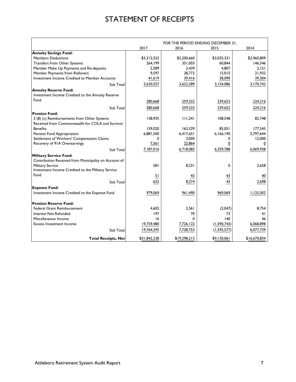## STATEMENT OF RECEIPTS

|                                                       |              |              | FOR THE PERIOD ENDING DECEMBER 31, |              |
|-------------------------------------------------------|--------------|--------------|------------------------------------|--------------|
|                                                       | 2017         | 2016         | 2015                               | 2014         |
| <b>Annuity Savings Fund:</b>                          |              |              |                                    |              |
| <b>Members Deductions</b>                             | \$3,312,552  | \$3,200,660  | \$3,035,331                        | \$2,960,809  |
| Transfers from Other Systems                          | 264,199      | 351,003      | 60,844                             | 146,546      |
| Member Make Up Payments and Re-deposits               | 2,589        | 2,439        | 4,807                              | 2,151        |
| Member Payments from Rollovers                        | 9,597        | 28,772       | 15,015                             | 21,932       |
| Investment Income Credited to Member Accounts         | 41,619       | 39,416       | 38,090                             | 39,304       |
| Sub Total                                             | 3,630,557    | 3,622,289    | 3,154,086                          | 3,170,742    |
| <b>Annuity Reserve Fund:</b>                          |              |              |                                    |              |
| Investment Income Credited to the Annuity Reserve     |              |              |                                    |              |
| Fund                                                  | 280,668      | 259,322      | 239,652                            | 224,216      |
| Sub Total                                             | 280,668      | 259,322      | 239,652                            | 224,216      |
| <b>Pension Fund:</b>                                  |              |              |                                    |              |
| 3 (8) (c) Reimbursements from Other Systems           | 138,935      | 111,241      | 108,548                            | 82,748       |
| Received from Commonwealth for COLA and Survivor      |              |              |                                    |              |
| <b>Benefits</b>                                       | 159,020      | 163,329      | 85,051                             | 177,545      |
| Pension Fund Appropriation                            | 6,881,500    | 6,417,651    | 6,166,190                          | 5,797,644    |
| Settlement of Workers' Compensation Claims            | 0            | 3.000        | 0                                  | 12,000       |
| Recovery of 91A Overearnings                          | 7,561        | 22,864       | <u>0</u>                           |              |
| Sub Total                                             | 7,187,016    | 6,718,085    | 6,359,788                          | 6,069,938    |
| <b>Military Service Fund:</b>                         |              |              |                                    |              |
| Contribution Received from Municipality on Account of |              |              |                                    |              |
| <b>Military Service</b>                               | 581          | 8,231        | 0                                  | 2,658        |
| Investment Income Credited to the Military Service    |              |              |                                    |              |
| Fund                                                  | 51           | 43           | 43                                 | 40           |
| Sub Total                                             | 632          | 8,274        | 43                                 | 2,698        |
|                                                       |              |              |                                    |              |
| <b>Expense Fund:</b>                                  |              |              |                                    |              |
| Investment Income Credited to the Expense Fund        | 979,069      | 961,490      | 969,069                            | 1,125,502    |
| <b>Pension Reserve Fund:</b>                          |              |              |                                    |              |
| <b>Federal Grant Reimbursement</b>                    | 4,602        | 2,561        | (2,047)                            | 8,754        |
| <b>Interest Not Refunded</b>                          | 197          | 70           | 73                                 | 41           |
| Miscellaneous Income                                  | 16           | $\Omega$     | 140                                | 46           |
| <b>Excess Investment Income</b>                       | 19,759,480   | 7,726,122    | (1, 590, 743)                      | 6,068,898    |
| Sub Total                                             | 19,764,295   | 7,728,753    | (1, 592, 577)                      | 6,077,739    |
| <b>Total Receipts, Net</b>                            | \$31,842,238 | \$19,298,213 | \$9,130,061                        | \$16,670,834 |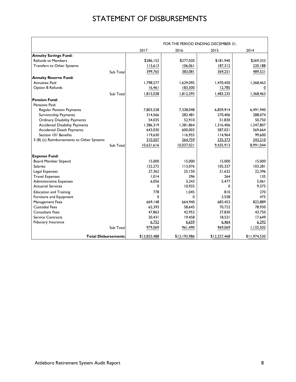## STATEMENT OF DISBURSEMENTS

|                                           |              |              | FOR THE PERIOD ENDING DECEMBER 31, |              |
|-------------------------------------------|--------------|--------------|------------------------------------|--------------|
|                                           | 2017         | 2016         | 2015                               | 2014         |
| <b>Annuity Savings Fund:</b>              |              |              |                                    |              |
| <b>Refunds to Members</b>                 | \$286,152    | \$277,020    | \$181,940                          | \$269,333    |
| <b>Transfers to Other Systems</b>         | 113,613      | 106,061      | 187,312                            | 220,188      |
| Sub Total                                 | 399,765      | 383,081      | 369,251                            | 489,521      |
| <b>Annuity Reserve Fund:</b>              |              |              |                                    |              |
| <b>Annuities Paid</b>                     | 1,798,577    | 1,629,095    | 1,470,450                          | 1,368,463    |
| Option B Refunds                          | 16,461       | 183,300      | 12,785                             |              |
| Sub Total                                 | 1,815,038    | 1,812,395    | 1,483,235                          | 1,368,463    |
| <b>Pension Fund:</b>                      |              |              |                                    |              |
| Pensions Paid:                            |              |              |                                    |              |
| <b>Regular Pension Payments</b>           | 7.803.528    | 7,338,048    | 6.859.914                          | 6,491,940    |
| Survivorship Payments                     | 314,566      | 282,481      | 270,406                            | 288,074      |
| <b>Ordinary Disability Payments</b>       | 54,035       | 52,910       | 51,830                             | 50,750       |
| <b>Accidental Disability Payments</b>     | 1,386,319    | 1,381,864    | 1,316,406                          | 1,247,807    |
| <b>Accidental Death Payments</b>          | 643,030      | 600,003      | 587,021                            | 569,664      |
| Section 101 Benefits                      | 119,630      | 116,955      | 114,964                            | 99,600       |
| 3 (8) (c) Reimbursements to Other Systems | 310,507      | 264,759      | 235,373                            | 243,210      |
| Sub Total                                 | 10,631,616   | 10,037,021   | 9,435,913                          | 8,991,044    |
| <b>Expense Fund:</b>                      |              |              |                                    |              |
| <b>Board Member Stipend</b>               | 15,000       | 15,000       | 15,000                             | 15,000       |
| <b>Salaries</b>                           | 122,272      | 113,076      | 105,327                            | 103,281      |
| Legal Expenses                            | 27,362       | 25,150       | 21,632                             | 22,396       |
| <b>Travel Expenses</b>                    | 1.014        | 396          | 264                                | 135          |
| <b>Administrative Expenses</b>            | 6,056        | 3.243        | 5.477                              | 5.061        |
| <b>Actuarial Services</b>                 | 0            | 10,925       | 0                                  | 9,375        |
| <b>Education and Training</b>             | 778          | 1,045        | 810                                | 270          |
| Furniture and Equipment                   | $\Omega$     | $\Omega$     | 3,558                              | 475          |
| <b>Management Fees</b>                    | 669,148      | 664,940      | 683,453                            | 822,889      |
| <b>Custodial Fees</b>                     | 62,393       | 58.645       | 70.722                             | 78,930       |
| <b>Consultant Fees</b>                    | 47,863       | 42,953       | 37,830                             | 43,750       |
| <b>Service Contracts</b>                  | 20,431       | 19,458       | 18,531                             | 17,649       |
| <b>Fiduciary Insurance</b>                | 6,752        | 6,659        | 6,464                              | 6,292        |
| Sub Total                                 | 979,069      | 961,490      | 969,069                            | 1,125,502    |
| <b>Total Disbursements</b>                | \$13,825,488 | \$13,193,986 | \$12,257,468                       | \$11,974,530 |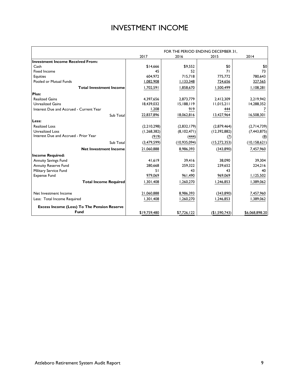## INVESTMENT INCOME

|                                                    |               |              | FOR THE PERIOD ENDING DECEMBER 31, |                |
|----------------------------------------------------|---------------|--------------|------------------------------------|----------------|
|                                                    | 2017          | 2016         | 2015                               | 2014           |
| <b>Investment Income Received From:</b>            |               |              |                                    |                |
| Cash                                               | \$14.666      | \$9.552      | \$0                                | \$0            |
| <b>Fixed Income</b>                                | 45            | 52           | 71                                 | 73             |
| <b>Equities</b>                                    | 604.972       | 715.718      | 775,772                            | 780.643        |
| Pooled or Mutual Funds                             | 1,082,908     | 1,133,348    | 724,656                            | 327,565        |
| <b>Total Investment Income</b>                     | 1,702,591     | 1,858,670    | 1,500,499                          | 1,108,281      |
| Plus:                                              |               |              |                                    |                |
| <b>Realized Gains</b>                              | 4,397,656     | 2,873,779    | 2,412,309                          | 2,219,942      |
| <b>Unrealized Gains</b>                            | 18,439,032    | 15,188,119   | 11,015,211                         | 14,288,352     |
| Interest Due and Accrued - Current Year            | 1,208         | 919          | 444                                | $\overline{I}$ |
| Sub Total                                          | 22,837,896    | 18,062,816   | 13,427,964                         | 16,508,301     |
| Less:                                              |               |              |                                    |                |
| <b>Realized Loss</b>                               | (2,210,298)   | (2,832,179)  | (2,879,464)                        | (2,714,739)    |
| <b>Unrealized Loss</b>                             | (1, 268, 382) | (8,102,471)  | (12,392,882)                       | (7, 443, 875)  |
| Interest Due and Accrued - Prior Year              | (919)         | (444)        | (7)                                | (8)            |
| Sub Total                                          | (3,479,599)   | (10,935,094) | (15, 272, 353)                     | (10, 158, 621) |
| <b>Net Investment Income</b>                       | 21,060,888    | 8,986,393    | (343,890)                          | 7,457,960      |
| <b>Income Required:</b>                            |               |              |                                    |                |
| <b>Annuity Savings Fund</b>                        | 41,619        | 39,416       | 38.090                             | 39,304         |
| <b>Annuity Reserve Fund</b>                        | 280.668       | 259.322      | 239.652                            | 224,216        |
| Military Service Fund                              | 51            | 43           | 43                                 | 40             |
| <b>Expense Fund</b>                                | 979,069       | 961,490      | 969,069                            | 1,125,502      |
| <b>Total Income Required</b>                       | 1,301,408     | 1,260,270    | 1,246,853                          | 1,389,062      |
|                                                    |               |              |                                    |                |
| Net Investment Income                              | 21,060,888    | 8,986,393    | (343,890)                          | 7,457,960      |
| Less: Total Income Required                        | 1,301,408     | 1,260,270    | 1,246,853                          | 1,389,062      |
| <b>Excess Income (Loss) To The Pension Reserve</b> |               |              |                                    |                |
| <b>Fund</b>                                        | \$19,759,480  | \$7,726,122  | (\$1,590,743)                      | \$6,068,898.20 |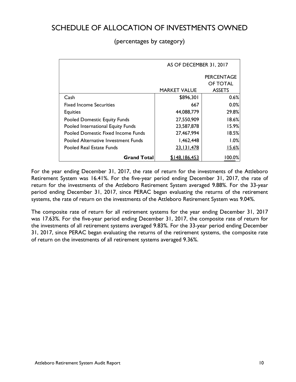## SCHEDULE OF ALLOCATION OF INVESTMENTS OWNED

## (percentages by category)

|                                           | AS OF DECEMBER 31, 2017 |                   |
|-------------------------------------------|-------------------------|-------------------|
|                                           |                         | <b>PERCENTAGE</b> |
|                                           |                         | OF TOTAL          |
|                                           | <b>MARKET VALUE</b>     | <b>ASSETS</b>     |
| Cash                                      | \$896,301               | 0.6%              |
| <b>Fixed Income Securities</b>            | 667                     | 0.0%              |
| <b>Equities</b>                           | 44,088,779              | 29.8%             |
| <b>Pooled Domestic Equity Funds</b>       | 27,550,909              | 18.6%             |
| Pooled International Equity Funds         | 23,587,878              | 15.9%             |
| <b>Pooled Domestic Fixed Income Funds</b> | 27,467,994              | 18.5%             |
| Pooled Alternative Investment Funds       | 1,462,448               | 1.0%              |
| Pooled Real Estate Funds                  | 23, 131, 478            | 15.6%             |
| <b>Grand Total</b>                        | <u>\$148,186,453</u>    | 100.0%            |

For the year ending December 31, 2017, the rate of return for the investments of the Attleboro Retirement System was 16.41%. For the five-year period ending December 31, 2017, the rate of return for the investments of the Attleboro Retirement System averaged 9.88%. For the 33-year period ending December 31, 2017, since PERAC began evaluating the returns of the retirement systems, the rate of return on the investments of the Attleboro Retirement System was 9.04%.

The composite rate of return for all retirement systems for the year ending December 31, 2017 was 17.63%. For the five-year period ending December 31, 2017, the composite rate of return for the investments of all retirement systems averaged 9.83%. For the 33-year period ending December 31, 2017, since PERAC began evaluating the returns of the retirement systems, the composite rate of return on the investments of all retirement systems averaged 9.36%.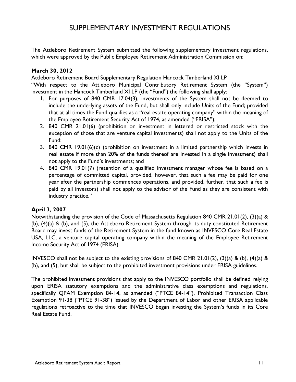## SUPPLEMENTARY INVESTMENT REGULATIONS

The Attleboro Retirement System submitted the following supplementary investment regulations, which were approved by the Public Employee Retirement Administration Commission on:

## **March 30, 2012**

Attleboro Retirement Board Supplementary Regulation Hancock Timberland XI LP

"With respect to the Attleboro Municipal Contributory Retirement System (the "System") investment in the Hancock Timberland XI LP (the "Fund") the following shall apply:

- 1. For purposes of 840 CMR 17.04(3), investments of the System shall not be deemed to include the underlying assets of the Fund, but shall only include Units of the Fund; provided that at all times the Fund qualifies as a "real estate operating company" within the meaning of the Employee Retirement Security Act of 1974, as amended ("ERISA");
- 2. 840 CMR 21.01(6) (prohibition on investment in lettered or restricted stock with the exception of those that are venture capital investments) shall not apply to the Units of the Fund;
- 3. 840 CMR 19.01(6)(c) (prohibition on investment in a limited partnership which invests in real estate if more than 20% of the funds thereof are invested in a single investment) shall not apply to the Fund's investments; and
- 4. 840 CMR 19.01(7) (retention of a qualified investment manager whose fee is based on a percentage of committed capital, provided, however, that such a fee may be paid for one year after the partnership commences operations, and provided, further, that such a fee is paid by all investors) shall not apply to the advisor of the Fund as they are consistent with industry practice."

## **April 3, 2007**

Notwithstanding the provision of the Code of Massachusetts Regulation 840 CMR 21.01(2), (3)(a) & (b), (4)(a) & (b), and (5), the Attleboro Retirement System through its duty constituted Retirement Board may invest funds of the Retirement System in the fund known as INVESCO Core Real Estate USA, LLC, a venture capital operating company within the meaning of the Employee Retirement Income Security Act of 1974 (ERISA).

INVESCO shall not be subject to the existing provisions of 840 CMR 21.01(2), (3)(a) & (b), (4)(a) & (b), and (5), but shall be subject to the prohibited investment provisions under ERISA guidelines.

The prohibited investment provisions that apply to the INVESCO portfolio shall be defined relying upon ERISA statutory exemptions and the administrative class exemptions and regulations, specifically QPAM Exemption 84-14, as amended ("PTCE 84-14"), Prohibited Transaction Class Exemption 91-38 ("PTCE 91-38") issued by the Department of Labor and other ERISA applicable regulations retroactive to the time that INVESCO began investing the System's funds in its Core Real Estate Fund.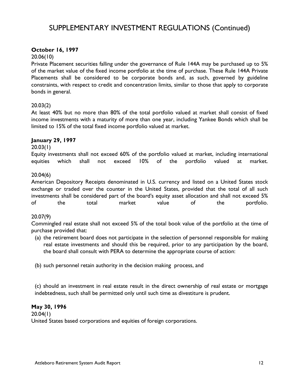## SUPPLEMENTARY INVESTMENT REGULATIONS (Continued)

## **October 16, 1997**

#### 20.06(10)

Private Placement securities falling under the governance of Rule 144A may be purchased up to 5% of the market value of the fixed income portfolio at the time of purchase. These Rule 144A Private Placements shall be considered to be corporate bonds and, as such, governed by guideline constraints, with respect to credit and concentration limits, similar to those that apply to corporate bonds in general.

## 20.03(2)

At least 40% but no more than 80% of the total portfolio valued at market shall consist of fixed income investments with a maturity of more than one year, including Yankee Bonds which shall be limited to 15% of the total fixed income portfolio valued at market.

## **January 29, 1997**

#### 20.03(1)

Equity investments shall not exceed 60% of the portfolio valued at market, including international equities which shall not exceed 10% of the portfolio valued at market.

## 20.04(6)

American Depository Receipts denominated in U.S. currency and listed on a United States stock exchange or traded over the counter in the United States, provided that the total of all such investments shall be considered part of the board's equity asset allocation and shall not exceed 5% of the total market value of the portfolio.

#### 20.07(9)

Commingled real estate shall not exceed 5% of the total book value of the portfolio at the time of purchase provided that:

- (a) the retirement board does not participate in the selection of personnel responsible for making real estate investments and should this be required, prior to any participation by the board, the board shall consult with PERA to determine the appropriate course of action:
- (b) such personnel retain authority in the decision making process, and

(c) should an investment in real estate result in the direct ownership of real estate or mortgage indebtedness, such shall be permitted only until such time as divestiture is prudent.

#### **May 30, 1996**

20.04(1) United States based corporations and equities of foreign corporations.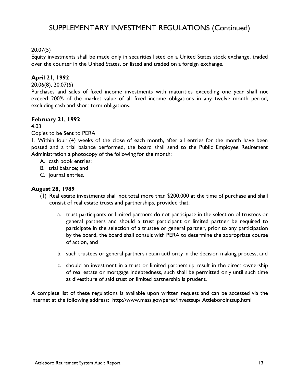## SUPPLEMENTARY INVESTMENT REGULATIONS (Continued)

## 20.07(5)

Equity investments shall be made only in securities listed on a United States stock exchange, traded over the counter in the United States, or listed and traded on a foreign exchange.

## **April 21, 1992**

20.06(8), 20.07(6)

Purchases and sales of fixed income investments with maturities exceeding one year shall not exceed 200% of the market value of all fixed income obligations in any twelve month period, excluding cash and short term obligations.

#### **February 21, 1992**

4.03

#### Copies to be Sent to PERA

1. Within four (4) weeks of the close of each month, after all entries for the month have been posted and a trial balance performed, the board shall send to the Public Employee Retirement Administration a photocopy of the following for the month:

- A. cash book entries;
- B. trial balance; and
- C. journal entries.

#### **August 28, 1989**

- (1) Real estate investments shall not total more than \$200,000 at the time of purchase and shall consist of real estate trusts and partnerships, provided that:
	- a. trust participants or limited partners do not participate in the selection of trustees or general partners and should a trust participant or limited partner be required to participate in the selection of a trustee or general partner, prior to any participation by the board, the board shall consult with PERA to determine the appropriate course of action, and
	- b. such trustees or general partners retain authority in the decision making process, and
	- c. should an investment in a trust or limited partnership result in the direct ownership of real estate or mortgage indebtedness, such shall be permitted only until such time as divestiture of said trust or limited partnership is prudent.

A complete list of these regulations is available upon written request and can be accessed via the internet at the following address: http://www.mass.gov/perac/investsup/ Attleborointsup.html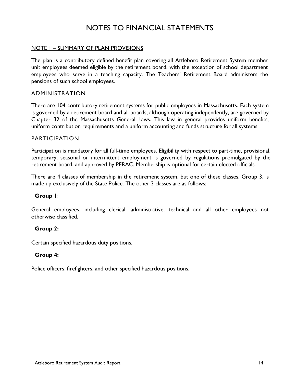## NOTES TO FINANCIAL STATEMENTS

#### NOTE 1 – SUMMARY OF PLAN PROVISIONS

The plan is a contributory defined benefit plan covering all Attleboro Retirement System member unit employees deemed eligible by the retirement board, with the exception of school department employees who serve in a teaching capacity. The Teachers' Retirement Board administers the pensions of such school employees.

#### ADMINISTRATION

There are 104 contributory retirement systems for public employees in Massachusetts. Each system is governed by a retirement board and all boards, although operating independently, are governed by Chapter 32 of the Massachusetts General Laws. This law in general provides uniform benefits, uniform contribution requirements and a uniform accounting and funds structure for all systems.

#### PARTICIPATION

Participation is mandatory for all full-time employees. Eligibility with respect to part-time, provisional, temporary, seasonal or intermittent employment is governed by regulations promulgated by the retirement board, and approved by PERAC. Membership is optional for certain elected officials.

There are 4 classes of membership in the retirement system, but one of these classes, Group 3, is made up exclusively of the State Police. The other 3 classes are as follows:

#### **Group 1**:

General employees, including clerical, administrative, technical and all other employees not otherwise classified.

#### **Group 2:**

Certain specified hazardous duty positions.

#### **Group 4:**

Police officers, firefighters, and other specified hazardous positions.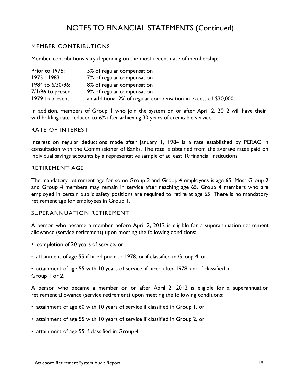## MEMBER CONTRIBUTIONS

Member contributions vary depending on the most recent date of membership:

| Prior to 1975:       | 5% of regular compensation                                      |
|----------------------|-----------------------------------------------------------------|
| 1975 - 1983:         | 7% of regular compensation                                      |
| 1984 to 6/30/96:     | 8% of regular compensation                                      |
| $7/1/96$ to present: | 9% of regular compensation                                      |
| 1979 to present:     | an additional 2% of regular compensation in excess of \$30,000. |

In addition, members of Group 1 who join the system on or after April 2, 2012 will have their withholding rate reduced to 6% after achieving 30 years of creditable service.

#### RATE OF INTEREST

Interest on regular deductions made after January 1, 1984 is a rate established by PERAC in consultation with the Commissioner of Banks. The rate is obtained from the average rates paid on individual savings accounts by a representative sample of at least 10 financial institutions.

## RETIREMENT AGE

The mandatory retirement age for some Group 2 and Group 4 employees is age 65. Most Group 2 and Group 4 members may remain in service after reaching age 65. Group 4 members who are employed in certain public safety positions are required to retire at age 65. There is no mandatory retirement age for employees in Group 1.

#### SUPERANNUATION RETIREMENT

A person who became a member before April 2, 2012 is eligible for a superannuation retirement allowance (service retirement) upon meeting the following conditions:

- completion of 20 years of service, or
- attainment of age 55 if hired prior to 1978, or if classified in Group 4, or
- attainment of age 55 with 10 years of service, if hired after 1978, and if classified in Group 1 or 2.

A person who became a member on or after April 2, 2012 is eligible for a superannuation retirement allowance (service retirement) upon meeting the following conditions:

- attainment of age 60 with 10 years of service if classified in Group 1, or
- attainment of age 55 with 10 years of service if classified in Group 2, or
- attainment of age 55 if classified in Group 4.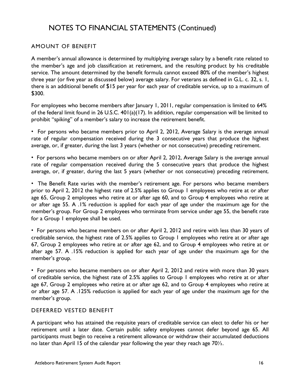## AMOUNT OF BENEFIT

A member's annual allowance is determined by multiplying average salary by a benefit rate related to the member's age and job classification at retirement, and the resulting product by his creditable service. The amount determined by the benefit formula cannot exceed 80% of the member's highest three year (or five year as discussed below) average salary. For veterans as defined in G.L. c. 32, s. 1, there is an additional benefit of \$15 per year for each year of creditable service, up to a maximum of \$300.

For employees who become members after January 1, 2011, regular compensation is limited to 64% of the federal limit found in 26 U.S.C. 401(a)(17). In addition, regular compensation will be limited to prohibit "spiking" of a member's salary to increase the retirement benefit.

• For persons who became members prior to April 2, 2012, Average Salary is the average annual rate of regular compensation received during the 3 consecutive years that produce the highest average, or, if greater, during the last 3 years (whether or not consecutive) preceding retirement.

• For persons who became members on or after April 2, 2012, Average Salary is the average annual rate of regular compensation received during the 5 consecutive years that produce the highest average, or, if greater, during the last 5 years (whether or not consecutive) preceding retirement.

• The Benefit Rate varies with the member's retirement age. For persons who became members prior to April 2, 2012 the highest rate of 2.5% applies to Group 1 employees who retire at or after age 65, Group 2 employees who retire at or after age 60, and to Group 4 employees who retire at or after age 55. A .1% reduction is applied for each year of age under the maximum age for the member's group. For Group 2 employees who terminate from service under age 55, the benefit rate for a Group I employee shall be used.

• For persons who became members on or after April 2, 2012 and retire with less than 30 years of creditable service, the highest rate of 2.5% applies to Group 1 employees who retire at or after age 67, Group 2 employees who retire at or after age 62, and to Group 4 employees who retire at or after age 57. A .15% reduction is applied for each year of age under the maximum age for the member's group.

• For persons who became members on or after April 2, 2012 and retire with more than 30 years of creditable service, the highest rate of 2.5% applies to Group 1 employees who retire at or after age 67, Group 2 employees who retire at or after age 62, and to Group 4 employees who retire at or after age 57. A .125% reduction is applied for each year of age under the maximum age for the member's group.

## DEFERRED VESTED BENEFIT

A participant who has attained the requisite years of creditable service can elect to defer his or her retirement until a later date. Certain public safety employees cannot defer beyond age 65. All participants must begin to receive a retirement allowance or withdraw their accumulated deductions no later than April 15 of the calendar year following the year they reach age  $70\frac{1}{2}$ .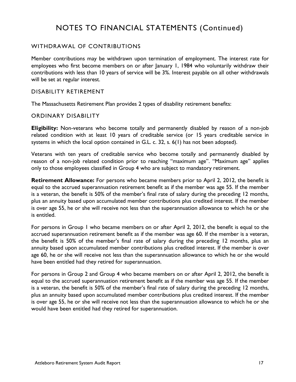## WITHDRAWAL OF CONTRIBUTIONS

Member contributions may be withdrawn upon termination of employment. The interest rate for employees who first become members on or after January 1, 1984 who voluntarily withdraw their contributions with less than 10 years of service will be 3%. Interest payable on all other withdrawals will be set at regular interest.

## DISABILITY RETIREMENT

The Massachusetts Retirement Plan provides 2 types of disability retirement benefits:

#### ORDINARY DISABILITY

**Eligibility:** Non-veterans who become totally and permanently disabled by reason of a non-job related condition with at least 10 years of creditable service (or 15 years creditable service in systems in which the local option contained in G.L. c. 32, s. 6(1) has not been adopted).

Veterans with ten years of creditable service who become totally and permanently disabled by reason of a non-job related condition prior to reaching "maximum age". "Maximum age" applies only to those employees classified in Group 4 who are subject to mandatory retirement.

**Retirement Allowance:** For persons who became members prior to April 2, 2012, the benefit is equal to the accrued superannuation retirement benefit as if the member was age 55. If the member is a veteran, the benefit is 50% of the member's final rate of salary during the preceding 12 months, plus an annuity based upon accumulated member contributions plus credited interest. If the member is over age 55, he or she will receive not less than the superannuation allowance to which he or she is entitled.

For persons in Group 1 who became members on or after April 2, 2012, the benefit is equal to the accrued superannuation retirement benefit as if the member was age 60. If the member is a veteran, the benefit is 50% of the member's final rate of salary during the preceding 12 months, plus an annuity based upon accumulated member contributions plus credited interest. If the member is over age 60, he or she will receive not less than the superannuation allowance to which he or she would have been entitled had they retired for superannuation.

For persons in Group 2 and Group 4 who became members on or after April 2, 2012, the benefit is equal to the accrued superannuation retirement benefit as if the member was age 55. If the member is a veteran, the benefit is 50% of the member's final rate of salary during the preceding 12 months, plus an annuity based upon accumulated member contributions plus credited interest. If the member is over age 55, he or she will receive not less than the superannuation allowance to which he or she would have been entitled had they retired for superannuation.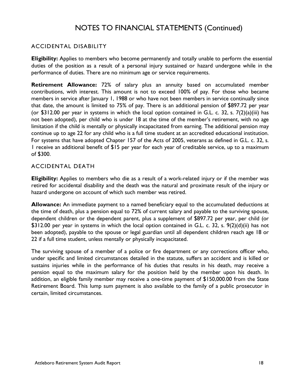## ACCIDENTAL DISABILITY

**Eligibility:** Applies to members who become permanently and totally unable to perform the essential duties of the position as a result of a personal injury sustained or hazard undergone while in the performance of duties. There are no minimum age or service requirements.

**Retirement Allowance:** 72% of salary plus an annuity based on accumulated member contributions, with interest. This amount is not to exceed 100% of pay. For those who became members in service after January 1, 1988 or who have not been members in service continually since that date, the amount is limited to 75% of pay. There is an additional pension of \$897.72 per year (or \$312.00 per year in systems in which the local option contained in G.L. c. 32, s. 7(2)(a)(iii) has not been adopted), per child who is under 18 at the time of the member's retirement, with no age limitation if the child is mentally or physically incapacitated from earning. The additional pension may continue up to age 22 for any child who is a full time student at an accredited educational institution. For systems that have adopted Chapter 157 of the Acts of 2005, veterans as defined in G.L. c. 32, s. 1 receive an additional benefit of \$15 per year for each year of creditable service, up to a maximum of \$300.

## ACCIDENTAL DEATH

**Eligibility:** Applies to members who die as a result of a work-related injury or if the member was retired for accidental disability and the death was the natural and proximate result of the injury or hazard undergone on account of which such member was retired.

**Allowance:** An immediate payment to a named beneficiary equal to the accumulated deductions at the time of death, plus a pension equal to 72% of current salary and payable to the surviving spouse, dependent children or the dependent parent, plus a supplement of \$897.72 per year, per child (or \$312.00 per year in systems in which the local option contained in G.L. c. 32, s. 9(2)(d)(ii) has not been adopted), payable to the spouse or legal guardian until all dependent children reach age 18 or 22 if a full time student, unless mentally or physically incapacitated.

The surviving spouse of a member of a police or fire department or any corrections officer who, under specific and limited circumstances detailed in the statute, suffers an accident and is killed or sustains injuries while in the performance of his duties that results in his death, may receive a pension equal to the maximum salary for the position held by the member upon his death. In addition, an eligible family member may receive a one-time payment of \$150,000.00 from the State Retirement Board. This lump sum payment is also available to the family of a public prosecutor in certain, limited circumstances.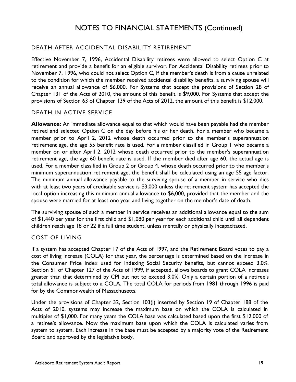## DEATH AFTER ACCIDENTAL DISABILITY RETIREMENT

Effective November 7, 1996, Accidental Disability retirees were allowed to select Option C at retirement and provide a benefit for an eligible survivor. For Accidental Disability retirees prior to November 7, 1996, who could not select Option C, if the member's death is from a cause unrelated to the condition for which the member received accidental disability benefits, a surviving spouse will receive an annual allowance of \$6,000. For Systems that accept the provisions of Section 28 of Chapter 131 of the Acts of 2010, the amount of this benefit is \$9,000. For Systems that accept the provisions of Section 63 of Chapter 139 of the Acts of 2012, the amount of this benefit is \$12,000.

## DEATH IN ACTIVE SERVICE

**Allowance:** An immediate allowance equal to that which would have been payable had the member retired and selected Option C on the day before his or her death. For a member who became a member prior to April 2, 2012 whose death occurred prior to the member's superannuation retirement age, the age 55 benefit rate is used. For a member classified in Group 1 who became a member on or after April 2, 2012 whose death occurred prior to the member's superannuation retirement age, the age 60 benefit rate is used. If the member died after age 60, the actual age is used. For a member classified in Group 2 or Group 4, whose death occurred prior to the member's minimum superannuation retirement age, the benefit shall be calculated using an age 55 age factor. The minimum annual allowance payable to the surviving spouse of a member in service who dies with at least two years of creditable service is \$3,000 unless the retirement system has accepted the local option increasing this minimum annual allowance to \$6,000, provided that the member and the spouse were married for at least one year and living together on the member's date of death.

The surviving spouse of such a member in service receives an additional allowance equal to the sum of \$1,440 per year for the first child and \$1,080 per year for each additional child until all dependent children reach age 18 or 22 if a full time student, unless mentally or physically incapacitated.

## COST OF LIVING

If a system has accepted Chapter 17 of the Acts of 1997, and the Retirement Board votes to pay a cost of living increase (COLA) for that year, the percentage is determined based on the increase in the Consumer Price Index used for indexing Social Security benefits, but cannot exceed 3.0%. Section 51 of Chapter 127 of the Acts of 1999, if accepted, allows boards to grant COLA increases greater than that determined by CPI but not to exceed 3.0%. Only a certain portion of a retiree's total allowance is subject to a COLA. The total COLA for periods from 1981 through 1996 is paid for by the Commonwealth of Massachusetts.

Under the provisions of Chapter 32, Section 103(j) inserted by Section 19 of Chapter 188 of the Acts of 2010, systems may increase the maximum base on which the COLA is calculated in multiples of \$1,000. For many years the COLA base was calculated based upon the first \$12,000 of a retiree's allowance. Now the maximum base upon which the COLA is calculated varies from system to system. Each increase in the base must be accepted by a majority vote of the Retirement Board and approved by the legislative body.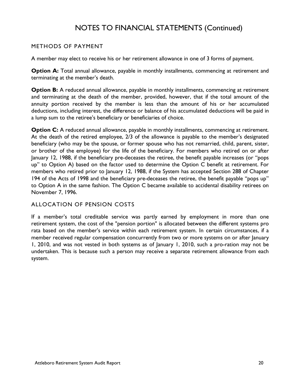## METHODS OF PAYMENT

A member may elect to receive his or her retirement allowance in one of 3 forms of payment.

**Option A:** Total annual allowance, payable in monthly installments, commencing at retirement and terminating at the member's death.

**Option B:** A reduced annual allowance, payable in monthly installments, commencing at retirement and terminating at the death of the member, provided, however, that if the total amount of the annuity portion received by the member is less than the amount of his or her accumulated deductions, including interest, the difference or balance of his accumulated deductions will be paid in a lump sum to the retiree's beneficiary or beneficiaries of choice.

**Option C:** A reduced annual allowance, payable in monthly installments, commencing at retirement. At the death of the retired employee, 2/3 of the allowance is payable to the member's designated beneficiary (who may be the spouse, or former spouse who has not remarried, child, parent, sister, or brother of the employee) for the life of the beneficiary. For members who retired on or after January 12, 1988, if the beneficiary pre-deceases the retiree, the benefit payable increases (or "pops up" to Option A) based on the factor used to determine the Option C benefit at retirement. For members who retired prior to January 12, 1988, if the System has accepted Section 288 of Chapter 194 of the Acts of 1998 and the beneficiary pre-deceases the retiree, the benefit payable "pops up" to Option A in the same fashion. The Option C became available to accidental disability retirees on November 7, 1996.

## ALLOCATION OF PENSION COSTS

If a member's total creditable service was partly earned by employment in more than one retirement system, the cost of the "pension portion" is allocated between the different systems pro rata based on the member's service within each retirement system. In certain circumstances, if a member received regular compensation concurrently from two or more systems on or after January 1, 2010, and was not vested in both systems as of January 1, 2010, such a pro-ration may not be undertaken. This is because such a person may receive a separate retirement allowance from each system.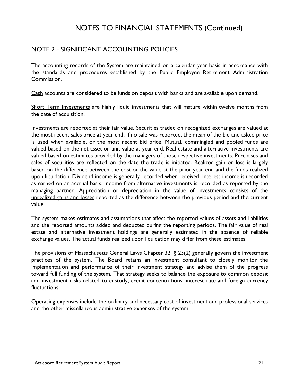## NOTE 2 - SIGNIFICANT ACCOUNTING POLICIES

The accounting records of the System are maintained on a calendar year basis in accordance with the standards and procedures established by the Public Employee Retirement Administration Commission.

Cash accounts are considered to be funds on deposit with banks and are available upon demand.

Short Term Investments are highly liquid investments that will mature within twelve months from the date of acquisition.

Investments are reported at their fair value. Securities traded on recognized exchanges are valued at the most recent sales price at year end. If no sale was reported, the mean of the bid and asked price is used when available, or the most recent bid price. Mutual, commingled and pooled funds are valued based on the net asset or unit value at year end. Real estate and alternative investments are valued based on estimates provided by the managers of those respective investments. Purchases and sales of securities are reflected on the date the trade is initiated. Realized gain or loss is largely based on the difference between the cost or the value at the prior year end and the funds realized upon liquidation. Dividend income is generally recorded when received. Interest income is recorded as earned on an accrual basis. Income from alternative investments is recorded as reported by the managing partner. Appreciation or depreciation in the value of investments consists of the unrealized gains and losses reported as the difference between the previous period and the current value.

The system makes estimates and assumptions that affect the reported values of assets and liabilities and the reported amounts added and deducted during the reporting periods. The fair value of real estate and alternative investment holdings are generally estimated in the absence of reliable exchange values. The actual funds realized upon liquidation may differ from these estimates.

The provisions of Massachusetts General Laws Chapter 32, § 23(2) generally govern the investment practices of the system. The Board retains an investment consultant to closely monitor the implementation and performance of their investment strategy and advise them of the progress toward full funding of the system. That strategy seeks to balance the exposure to common deposit and investment risks related to custody, credit concentrations, interest rate and foreign currency fluctuations.

Operating expenses include the ordinary and necessary cost of investment and professional services and the other miscellaneous administrative expenses of the system.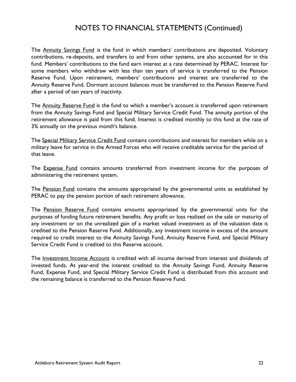The Annuity Savings Fund is the fund in which members' contributions are deposited. Voluntary contributions, re-deposits, and transfers to and from other systems, are also accounted for in this fund. Members' contributions to the fund earn interest at a rate determined by PERAC. Interest for some members who withdraw with less than ten years of service is transferred to the Pension Reserve Fund. Upon retirement, members' contributions and interest are transferred to the Annuity Reserve Fund. Dormant account balances must be transferred to the Pension Reserve Fund after a period of ten years of inactivity.

The Annuity Reserve Fund is the fund to which a member's account is transferred upon retirement from the Annuity Savings Fund and Special Military Service Credit Fund. The annuity portion of the retirement allowance is paid from this fund. Interest is credited monthly to this fund at the rate of 3% annually on the previous month's balance.

The Special Military Service Credit Fund contains contributions and interest for members while on a military leave for service in the Armed Forces who will receive creditable service for the period of that leave.

The **Expense Fund** contains amounts transferred from investment income for the purposes of administering the retirement system.

The Pension Fund contains the amounts appropriated by the governmental units as established by PERAC to pay the pension portion of each retirement allowance.

The Pension Reserve Fund contains amounts appropriated by the governmental units for the purposes of funding future retirement benefits. Any profit or loss realized on the sale or maturity of any investment or on the unrealized gain of a market valued investment as of the valuation date is credited to the Pension Reserve Fund. Additionally, any investment income in excess of the amount required to credit interest to the Annuity Savings Fund, Annuity Reserve Fund, and Special Military Service Credit Fund is credited to this Reserve account.

The Investment Income Account is credited with all income derived from interest and dividends of invested funds. At year-end the interest credited to the Annuity Savings Fund, Annuity Reserve Fund, Expense Fund, and Special Military Service Credit Fund is distributed from this account and the remaining balance is transferred to the Pension Reserve Fund.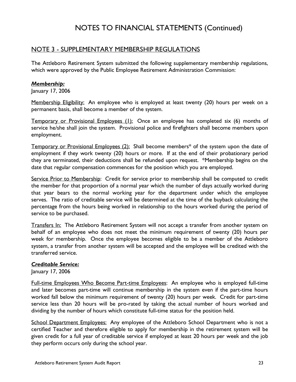## NOTE 3 - SUPPLEMENTARY MEMBERSHIP REGULATIONS

The Attleboro Retirement System submitted the following supplementary membership regulations, which were approved by the Public Employee Retirement Administration Commission:

## *Membership:*

January 17, 2006

Membership Eligibility: An employee who is employed at least twenty (20) hours per week on a permanent basis, shall become a member of the system.

Temporary or Provisional Employees (1): Once an employee has completed six (6) months of service he/she shall join the system. Provisional police and firefighters shall become members upon employment.

Temporary or Provisional Employees (2): Shall become members<sup>\*</sup> of the system upon the date of employment if they work twenty (20) hours or more. If at the end of their probationary period they are terminated, their deductions shall be refunded upon request. \*Membership begins on the date that regular compensation commences for the position which you are employed.

Service Prior to Membership: Credit for service prior to membership shall be computed to credit the member for that proportion of a normal year which the number of days actually worked during that year bears to the normal working year for the department under which the employee serves. The ratio of creditable service will be determined at the time of the buyback calculating the percentage from the hours being worked in relationship to the hours worked during the period of service to be purchased.

Transfers In: The Attleboro Retirement System will not accept a transfer from another system on behalf of an employee who does not meet the minimum requirement of twenty (20) hours per week for membership. Once the employee becomes eligible to be a member of the Attleboro system, a transfer from another system will be accepted and the employee will be credited with the transferred service.

## *Creditable Service:*

January 17, 2006

Full-time Employees Who Become Part-time Employees: An employee who is employed full-time and later becomes part-time will continue membership in the system even if the part-time hours worked fall below the minimum requirement of twenty (20) hours per week. Credit for part-time service less than 20 hours will be pro-rated by taking the actual number of hours worked and dividing by the number of hours which constitute full-time status for the position held.

School Department Employees: Any employee of the Attleboro School Department who is not a certified Teacher and therefore eligible to apply for membership in the retirement system will be given credit for a full year of creditable service if employed at least 20 hours per week and the job they perform occurs only during the school year.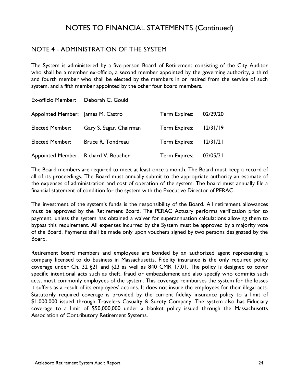## NOTE 4 - ADMINISTRATION OF THE SYSTEM

The System is administered by a five-person Board of Retirement consisting of the City Auditor who shall be a member ex-officio, a second member appointed by the governing authority, a third and fourth member who shall be elected by the members in or retired from the service of such system, and a fifth member appointed by the other four board members.

| Ex-officio Member: Deborah C. Gould  |                         |               |          |
|--------------------------------------|-------------------------|---------------|----------|
| Appointed Member: James M. Castro    |                         | Term Expires: | 02/29/20 |
| <b>Elected Member:</b>               | Gary S. Sagar, Chairman | Term Expires: | 12/31/19 |
| <b>Elected Member:</b>               | Bruce R. Tondreau       | Term Expires: | 12/31/21 |
| Appointed Member: Richard V. Boucher |                         | Term Expires: | 02/05/21 |

The Board members are required to meet at least once a month. The Board must keep a record of all of its proceedings. The Board must annually submit to the appropriate authority an estimate of the expenses of administration and cost of operation of the system. The board must annually file a financial statement of condition for the system with the Executive Director of PERAC.

The investment of the system's funds is the responsibility of the Board. All retirement allowances must be approved by the Retirement Board. The PERAC Actuary performs verification prior to payment, unless the system has obtained a waiver for superannuation calculations allowing them to bypass this requirement. All expenses incurred by the System must be approved by a majority vote of the Board. Payments shall be made only upon vouchers signed by two persons designated by the Board.

Retirement board members and employees are bonded by an authorized agent representing a company licensed to do business in Massachusetts. Fidelity insurance is the only required policy coverage under Ch. 32 §21 and §23 as well as 840 CMR 17.01. The policy is designed to cover specific intentional acts such as theft, fraud or embezzlement and also specify who commits such acts, most commonly employees of the system. This coverage reimburses the system for the losses it suffers as a result of its employees' actions. It does not insure the employees for their illegal acts. Statutorily required coverage is provided by the current fidelity insurance policy to a limit of \$1,000,000 issued through Travelers Casualty & Surety Company. The system also has Fiduciary coverage to a limit of \$50,000,000 under a blanket policy issued through the Massachusetts Association of Contributory Retirement Systems.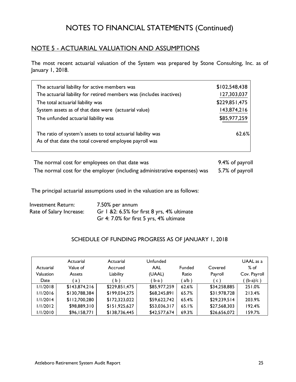## NOTE 5 - ACTUARIAL VALUATION AND ASSUMPTIONS

The most recent actuarial valuation of the System was prepared by Stone Consulting, Inc. as of January 1, 2018.

| The actuarial liability for active members was                       | \$102,548,438 |
|----------------------------------------------------------------------|---------------|
| The actuarial liability for retired members was (includes inactives) | 127,303,037   |
| The total actuarial liability was                                    | \$229,851,475 |
| System assets as of that date were (actuarial value)                 | 143,874,216   |
| The unfunded actuarial liability was                                 | \$85,977,259  |
| The ratio of system's assets to total actuarial liability was        | 62.6%         |
| As of that date the total covered employee payroll was               |               |
|                                                                      |               |

| The normal cost for employees on that date was                           | 9.4% of payroll |
|--------------------------------------------------------------------------|-----------------|
| The normal cost for the employer (including administrative expenses) was | 5.7% of payroll |

The principal actuarial assumptions used in the valuation are as follows:

| <b>Investment Return:</b> | 7.50% per annum                             |
|---------------------------|---------------------------------------------|
| Rate of Salary Increase:  | Gr 1 & 2: 6.5% for first 8 yrs, 4% ultimate |
|                           | Gr 4: 7.0% for first 5 yrs, 4% ultimate     |

## SCHEDULE OF FUNDING PROGRESS AS OF JANUARY 1, 2018

| Actuarial | Actuarial<br>Value of | Actuarial<br>Accrued | Unfunded<br>AAL | <b>Funded</b> | Covered        | UAAL as a<br>$%$ of |
|-----------|-----------------------|----------------------|-----------------|---------------|----------------|---------------------|
| Valuation | <b>Assets</b>         | Liability            | (UAAL)          | Ratio         | Payroll        | Cov. Payroll        |
| Date      | a)                    | b)                   | ' b-a )         | a/b           | $\mathsf{c}$ ) | $(b-a)/c$ )         |
| 1/1/2018  | \$143,874,216         | \$229,851,475        | \$85,977,259    | 62.6%         | \$34,258,885   | 251.0%              |
| 1/1/2016  | \$130,788,384         | \$199,034,275        | \$68,245,891    | 65.7%         | \$31,978,728   | 213.4%              |
| 1/1/2014  | \$112,700,280         | \$172,323,022        | \$59,622,742    | 65.4%         | \$29,239,514   | 203.9%              |
| 1/1/2012  | \$98,889,310          | \$151,925,627        | \$53,036,317    | 65.1%         | \$27,568,303   | 192.4%              |
| 1/1/2010  | \$96,158,771          | \$138,736,445        | \$42,577,674    | 69.3%         | \$26,656,072   | 159.7%              |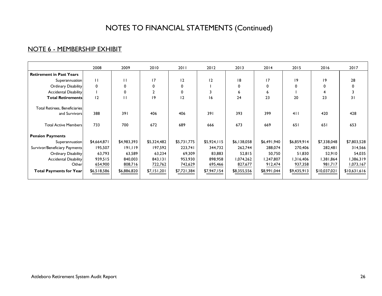## NOTE 6 - MEMBERSHIP EXHIBIT

|                                 | 2008        | 2009         | 2010         | 2011        | 2012        | 2013        | 2014        | 2015        | 2016         | 2017         |
|---------------------------------|-------------|--------------|--------------|-------------|-------------|-------------|-------------|-------------|--------------|--------------|
| <b>Retirement in Past Years</b> |             |              |              |             |             |             |             |             |              |              |
| Superannuation                  | П           | П            | 17           | 12          | 2           | 8           | 17          | 9           | 19           | 28           |
| Ordinary Disability             | $\mathbf 0$ | 0            | 0            | 0           |             | 0           | 0           | 0           | 0            | 0            |
| <b>Accidental Disability</b>    |             | 0            | $\mathbf{2}$ |             | 3           | 6           | 6           |             | 4            |              |
| <b>Total Retirements</b>        | 12          | $\mathbf{H}$ | 19           | 12          | 16          | 24          | 23          | 20          | 23           | 31           |
| Total Retirees, Beneficiaries   |             |              |              |             |             |             |             |             |              |              |
| and Survivors                   | 388         | 391          | 406          | 406         | 391         | 393         | 399         | 411         | 420          | 428          |
| <b>Total Active Members</b>     | 733         | 700          | 672          | 689         | 666         | 673         | 669         | 651         | 651          | 653          |
| <b>Pension Payments</b>         |             |              |              |             |             |             |             |             |              |              |
| Superannuation                  | \$4,664,871 | \$4,983,393  | \$5,324,482  | \$5,731,775 | \$5,924,115 | \$6,138,058 | \$6,491,940 | \$6,859,914 | \$7,338,048  | \$7,803,528  |
| Survivor/Beneficiary Payments   | 195,507     | 191,119      | 197,592      | 223,741     | 344,732     | 262,744     | 288,074     | 270,406     | 282,481      | 314,566      |
| Ordinary Disability             | 63,793      | 63,589       | 63,234       | 69,309      | 83,883      | 52,815      | 50,750      | 51,830      | 52,910       | 54,035       |
| <b>Accidental Disability</b>    | 939,515     | 840,003      | 843,131      | 953,930     | 898,958     | 1,074,262   | 1,247,807   | 1,316,406   | 1,381,864    | 1,386,319    |
| Other                           | 654,900     | 808,716      | 722,762      | 742,629     | 695,466     | 827,677     | 912,474     | 937,358     | 981,717      | 1,073,167    |
| <b>Total Payments for Year</b>  | \$6,518,586 | \$6,886,820  | \$7,151,201  | \$7,721,384 | \$7,947,154 | \$8,355,556 | \$8,991,044 | \$9,435,913 | \$10,037,021 | \$10,631,616 |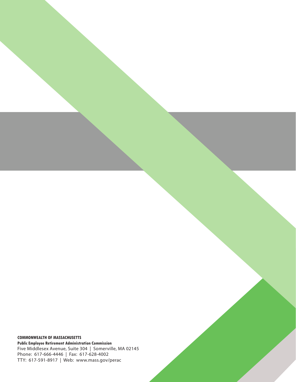**COMMONWEALTH OF MASSACHUSETTS**

**Public Employee Retirement Administration Commission** Five Middlesex Avenue, Suite 304 | Somerville, MA 02145 Phone: 617-666-4446 | Fax: 617-628-4002 TTY: 617-591-8917 | Web: www.mass.gov/perac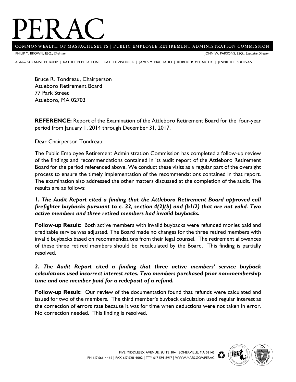# PERAC **COMMONWEALTH OF MASSACHUSET TS | PUBLIC EMPLOYEE RETIREMENT ADMINISTRATION COMMISSION**

PHILIP Y. BROWN, ESQ., *Chairman*

JOHN W. PARSONS, ESQ., *Executive Director*

Auditor SUZANNE M. BUMP | KATHLEEN M. FALLON | KATE FITZPATRICK | JAMES M. MACHADO | ROBERT B. McCARTHY | JENNIFER F. SULLIVAN<br>.

Bruce R. Tondreau, Chairperson Attleboro Retirement Board 77 Park Street Attleboro, MA 02703

**REFERENCE:** Report of the Examination of the Attleboro Retirement Board for the four-year period from January 1, 2014 through December 31, 2017.

Dear Chairperson Tondreau:

The Public Employee Retirement Administration Commission has completed a follow-up review of the findings and recommendations contained in its audit report of the Attleboro Retirement Board for the period referenced above. We conduct these visits as a regular part of the oversight process to ensure the timely implementation of the recommendations contained in that report. The examination also addressed the other matters discussed at the completion of the audit. The results are as follows:

## *1. The Audit Report cited a finding that the Attleboro Retirement Board approved call firefighter buybacks pursuant to c. 32, section 4(2)(b) and (b1/2) that are not valid. Two active members and three retired members had invalid buybacks.*

**Follow-up Result**: Both active members with invalid buybacks were refunded monies paid and creditable service was adjusted. The Board made no changes for the three retired members with invalid buybacks based on recommendations from their legal counsel. The retirement allowances of these three retired members should be recalculated by the Board. This finding is partially resolved.

## *2. The Audit Report cited a finding that three active members' service buyback calculations used incorrect interest rates. Two members purchased prior non-membership time and one member paid for a redeposit of a refund.*

**Follow-up Result**: Our review of the documentation found that refunds were calculated and issued for two of the members. The third member's buyback calculation used regular interest as the correction of errors rate because it was for time when deductions were not taken in error. No correction needed. This finding is resolved.